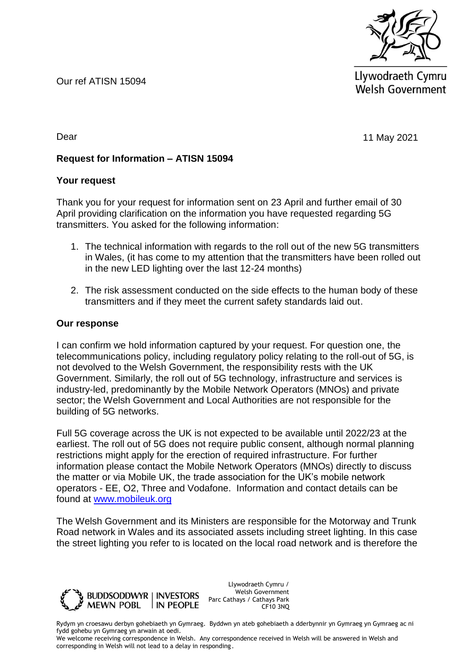Our ref ATISN 15094



Llywodraeth Cymru **Welsh Government** 

11 May 2021

Dear

**Request for Information – ATISN 15094**

## **Your request**

Thank you for your request for information sent on 23 April and further email of 30 April providing clarification on the information you have requested regarding 5G transmitters. You asked for the following information:

- 1. The technical information with regards to the roll out of the new 5G transmitters in Wales, (it has come to my attention that the transmitters have been rolled out in the new LED lighting over the last 12-24 months)
- 2. The risk assessment conducted on the side effects to the human body of these transmitters and if they meet the current safety standards laid out.

## **Our response**

I can confirm we hold information captured by your request. For question one, the telecommunications policy, including regulatory policy relating to the roll-out of 5G, is not devolved to the Welsh Government, the responsibility rests with the UK Government. Similarly, the roll out of 5G technology, infrastructure and services is industry-led, predominantly by the Mobile Network Operators (MNOs) and private sector; the Welsh Government and Local Authorities are not responsible for the building of 5G networks.

Full 5G coverage across the UK is not expected to be available until 2022/23 at the earliest. The roll out of 5G does not require public consent, although normal planning restrictions might apply for the erection of required infrastructure. For further information please contact the Mobile Network Operators (MNOs) directly to discuss the matter or via Mobile UK, the trade association for the UK's mobile network operators - EE, O2, Three and Vodafone. Information and contact details can be found at [www.mobileuk.org](http://www.mobileuk.org/)

The Welsh Government and its Ministers are responsible for the Motorway and Trunk Road network in Wales and its associated assets including street lighting. In this case the street lighting you refer to is located on the local road network and is therefore the



Llywodraeth Cymru / Welsh Government Parc Cathays / Cathays Park CF10 3NQ

Rydym yn croesawu derbyn gohebiaeth yn Gymraeg. Byddwn yn ateb gohebiaeth a dderbynnir yn Gymraeg yn Gymraeg ac ni fydd gohebu yn Gymraeg yn arwain at oedi.

We welcome receiving correspondence in Welsh. Any correspondence received in Welsh will be answered in Welsh and corresponding in Welsh will not lead to a delay in responding.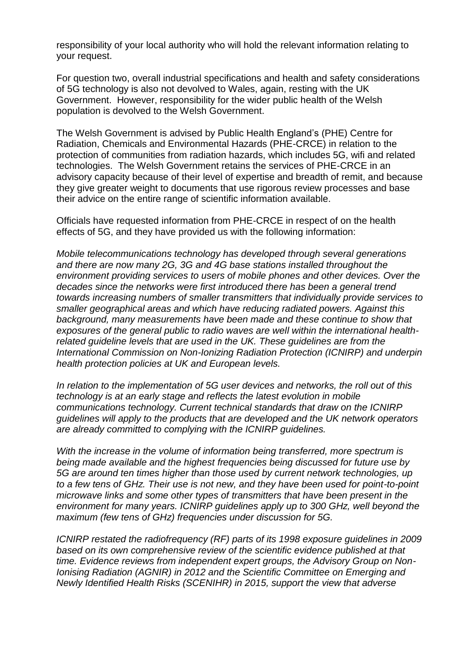responsibility of your local authority who will hold the relevant information relating to your request.

For question two, overall industrial specifications and health and safety considerations of 5G technology is also not devolved to Wales, again, resting with the UK Government. However, responsibility for the wider public health of the Welsh population is devolved to the Welsh Government.

The Welsh Government is advised by Public Health England's (PHE) Centre for Radiation, Chemicals and Environmental Hazards (PHE-CRCE) in relation to the protection of communities from radiation hazards, which includes 5G, wifi and related technologies. The Welsh Government retains the services of PHE-CRCE in an advisory capacity because of their level of expertise and breadth of remit, and because they give greater weight to documents that use rigorous review processes and base their advice on the entire range of scientific information available.

Officials have requested information from PHE-CRCE in respect of on the health effects of 5G, and they have provided us with the following information:

*Mobile telecommunications technology has developed through several generations and there are now many 2G, 3G and 4G base stations installed throughout the environment providing services to users of mobile phones and other devices. Over the decades since the networks were first introduced there has been a general trend towards increasing numbers of smaller transmitters that individually provide services to smaller geographical areas and which have reducing radiated powers. Against this background, many measurements have been made and these continue to show that exposures of the general public to radio waves are well within the international healthrelated guideline levels that are used in the UK. These guidelines are from the International Commission on Non-Ionizing Radiation Protection (ICNIRP) and underpin health protection policies at UK and European levels.* 

*In relation to the implementation of 5G user devices and networks, the roll out of this technology is at an early stage and reflects the latest evolution in mobile communications technology. Current technical standards that draw on the ICNIRP guidelines will apply to the products that are developed and the UK network operators are already committed to complying with the ICNIRP guidelines.* 

*With the increase in the volume of information being transferred, more spectrum is being made available and the highest frequencies being discussed for future use by 5G are around ten times higher than those used by current network technologies, up to a few tens of GHz. Their use is not new, and they have been used for point-to-point microwave links and some other types of transmitters that have been present in the environment for many years. ICNIRP guidelines apply up to 300 GHz, well beyond the maximum (few tens of GHz) frequencies under discussion for 5G.* 

*ICNIRP restated the radiofrequency (RF) parts of its 1998 exposure quidelines in 2009 based on its own comprehensive review of the scientific evidence published at that time. Evidence reviews from independent expert groups, the Advisory Group on Non-Ionising Radiation (AGNIR) in 2012 and the Scientific Committee on Emerging and Newly Identified Health Risks (SCENIHR) in 2015, support the view that adverse*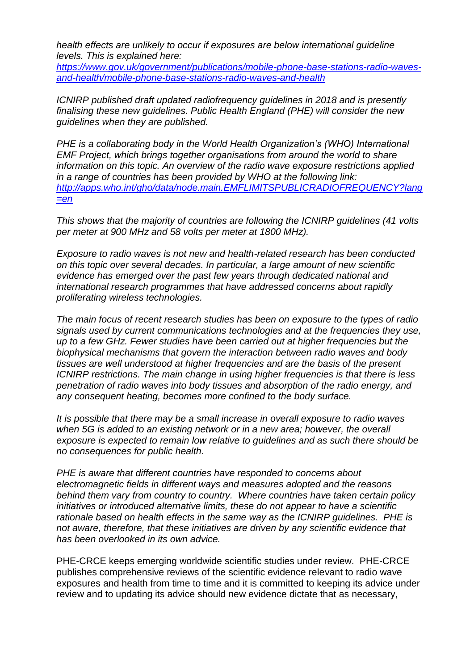*health effects are unlikely to occur if exposures are below international guideline levels. This is explained here:* 

*[https://www.gov.uk/government/publications/mobile-phone-base-stations-radio-waves](https://www.gov.uk/government/publications/mobile-phone-base-stations-radio-waves-and-health/mobile-phone-base-stations-radio-waves-and-health)[and-health/mobile-phone-base-stations-radio-waves-and-health](https://www.gov.uk/government/publications/mobile-phone-base-stations-radio-waves-and-health/mobile-phone-base-stations-radio-waves-and-health)*

*ICNIRP published draft updated radiofrequency guidelines in 2018 and is presently finalising these new guidelines. Public Health England (PHE) will consider the new guidelines when they are published.* 

*PHE is a collaborating body in the World Health Organization's (WHO) International EMF Project, which brings together organisations from around the world to share information on this topic. An overview of the radio wave exposure restrictions applied in a range of countries has been provided by WHO at the following link: [http://apps.who.int/gho/data/node.main.EMFLIMITSPUBLICRADIOFREQUENCY?lang](http://apps.who.int/gho/data/node.main.EMFLIMITSPUBLICRADIOFREQUENCY?lang=en) [=en](http://apps.who.int/gho/data/node.main.EMFLIMITSPUBLICRADIOFREQUENCY?lang=en)*

*This shows that the majority of countries are following the ICNIRP guidelines (41 volts per meter at 900 MHz and 58 volts per meter at 1800 MHz).*

*Exposure to radio waves is not new and health-related research has been conducted on this topic over several decades. In particular, a large amount of new scientific evidence has emerged over the past few years through dedicated national and international research programmes that have addressed concerns about rapidly proliferating wireless technologies.* 

*The main focus of recent research studies has been on exposure to the types of radio signals used by current communications technologies and at the frequencies they use, up to a few GHz. Fewer studies have been carried out at higher frequencies but the biophysical mechanisms that govern the interaction between radio waves and body tissues are well understood at higher frequencies and are the basis of the present ICNIRP restrictions. The main change in using higher frequencies is that there is less penetration of radio waves into body tissues and absorption of the radio energy, and any consequent heating, becomes more confined to the body surface.* 

*It is possible that there may be a small increase in overall exposure to radio waves*  when 5G is added to an existing network or in a new area; however, the overall *exposure is expected to remain low relative to guidelines and as such there should be no consequences for public health.*

*PHE is aware that different countries have responded to concerns about electromagnetic fields in different ways and measures adopted and the reasons behind them vary from country to country. Where countries have taken certain policy initiatives or introduced alternative limits, these do not appear to have a scientific rationale based on health effects in the same way as the ICNIRP guidelines. PHE is not aware, therefore, that these initiatives are driven by any scientific evidence that has been overlooked in its own advice.*

PHE-CRCE keeps emerging worldwide scientific studies under review. PHE-CRCE publishes comprehensive reviews of the scientific evidence relevant to radio wave exposures and health from time to time and it is committed to keeping its advice under review and to updating its advice should new evidence dictate that as necessary,